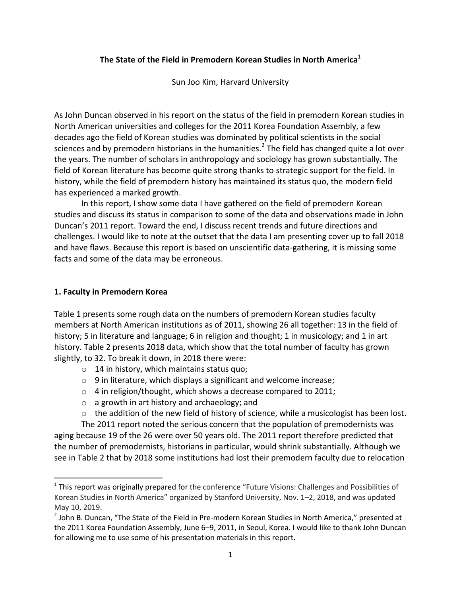# **The State of the Field in Premodern Korean Studies in North America**<sup>1</sup>

Sun Joo Kim, Harvard University

As John Duncan observed in his report on the status of the field in premodern Korean studies in North American universities and colleges for the 2011 Korea Foundation Assembly, a few decades ago the field of Korean studies was dominated by political scientists in the social sciences and by premodern historians in the humanities.<sup>2</sup> The field has changed quite a lot over the years. The number of scholars in anthropology and sociology has grown substantially. The field of Korean literature has become quite strong thanks to strategic support for the field. In history, while the field of premodern history has maintained its status quo, the modern field has experienced a marked growth.

In this report, I show some data I have gathered on the field of premodern Korean studies and discuss its status in comparison to some of the data and observations made in John Duncan's 2011 report. Toward the end, I discuss recent trends and future directions and challenges. I would like to note at the outset that the data I am presenting cover up to fall 2018 and have flaws. Because this report is based on unscientific data-gathering, it is missing some facts and some of the data may be erroneous.

## **1. Faculty in Premodern Korea**

 $\overline{\phantom{a}}$ 

Table 1 presents some rough data on the numbers of premodern Korean studies faculty members at North American institutions as of 2011, showing 26 all together: 13 in the field of history; 5 in literature and language; 6 in religion and thought; 1 in musicology; and 1 in art history. Table 2 presents 2018 data, which show that the total number of faculty has grown slightly, to 32. To break it down, in 2018 there were:

- o 14 in history, which maintains status quo;
- $\circ$  9 in literature, which displays a significant and welcome increase;
- o 4 in religion/thought, which shows a decrease compared to 2011;
- o a growth in art history and archaeology; and
- $\circ$  the addition of the new field of history of science, while a musicologist has been lost.

The 2011 report noted the serious concern that the population of premodernists was aging because 19 of the 26 were over 50 years old. The 2011 report therefore predicted that the number of premodernists, historians in particular, would shrink substantially. Although we see in Table 2 that by 2018 some institutions had lost their premodern faculty due to relocation

<sup>&</sup>lt;sup>1</sup> This report was originally prepared for the conference "Future Visions: Challenges and Possibilities of Korean Studies in North America" organized by Stanford University, Nov. 1–2, 2018, and was updated May 10, 2019.

 $^2$  John B. Duncan, "The State of the Field in Pre-modern Korean Studies in North America," presented at the 2011 Korea Foundation Assembly, June 6–9, 2011, in Seoul, Korea. I would like to thank John Duncan for allowing me to use some of his presentation materials in this report.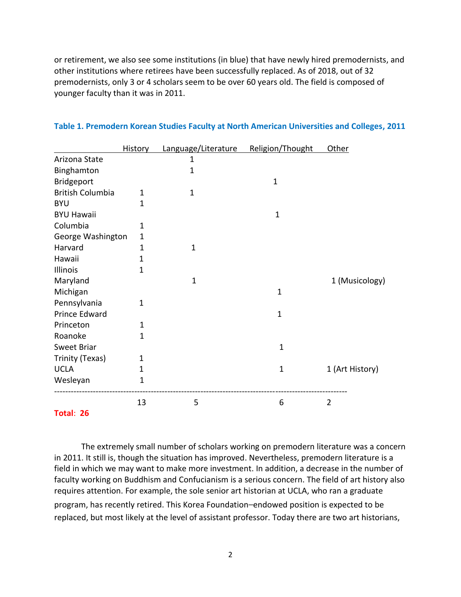or retirement, we also see some institutions (in blue) that have newly hired premodernists, and other institutions where retirees have been successfully replaced. As of 2018, out of 32 premodernists, only 3 or 4 scholars seem to be over 60 years old. The field is composed of younger faculty than it was in 2011.

|                         | <b>History</b> | Language/Literature | Religion/Thought | Other           |
|-------------------------|----------------|---------------------|------------------|-----------------|
| Arizona State           |                | 1                   |                  |                 |
| Binghamton              |                | 1                   |                  |                 |
| Bridgeport              |                |                     | $\mathbf{1}$     |                 |
| <b>British Columbia</b> | 1              | $\mathbf{1}$        |                  |                 |
| <b>BYU</b>              | 1              |                     |                  |                 |
| <b>BYU Hawaii</b>       |                |                     | $\mathbf{1}$     |                 |
| Columbia                | 1              |                     |                  |                 |
| George Washington       | 1              |                     |                  |                 |
| Harvard                 | $\mathbf{1}$   | $\mathbf{1}$        |                  |                 |
| Hawaii                  | 1              |                     |                  |                 |
| Illinois                | $\mathbf{1}$   |                     |                  |                 |
| Maryland                |                | $\mathbf{1}$        |                  | 1 (Musicology)  |
| Michigan                |                |                     | $\mathbf{1}$     |                 |
| Pennsylvania            | $\mathbf 1$    |                     |                  |                 |
| Prince Edward           |                |                     | $\mathbf{1}$     |                 |
| Princeton               | $\mathbf{1}$   |                     |                  |                 |
| Roanoke                 | 1              |                     |                  |                 |
| Sweet Briar             |                |                     | $\mathbf{1}$     |                 |
| Trinity (Texas)         | 1              |                     |                  |                 |
| <b>UCLA</b>             | 1              |                     | $\mathbf{1}$     | 1 (Art History) |
| Wesleyan                | 1              |                     |                  |                 |
|                         | 13             | 5                   | 6                | $\overline{2}$  |
| Total: 26               |                |                     |                  |                 |

#### **Table 1. Premodern Korean Studies Faculty at North American Universities and Colleges, 2011**

The extremely small number of scholars working on premodern literature was a concern in 2011. It still is, though the situation has improved. Nevertheless, premodern literature is a field in which we may want to make more investment. In addition, a decrease in the number of faculty working on Buddhism and Confucianism is a serious concern. The field of art history also requires attention. For example, the sole senior art historian at UCLA, who ran a graduate program, has recently retired. This Korea Foundation–endowed position is expected to be replaced, but most likely at the level of assistant professor. Today there are two art historians,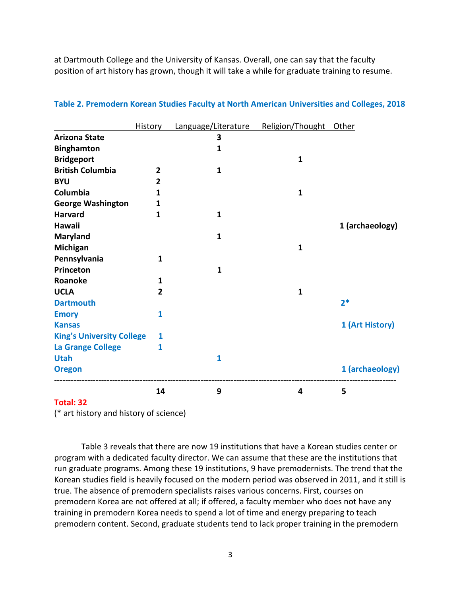at Dartmouth College and the University of Kansas. Overall, one can say that the faculty position of art history has grown, though it will take a while for graduate training to resume.

|                                  | <b>History</b> | Language/Literature | Religion/Thought | <b>Other</b>    |
|----------------------------------|----------------|---------------------|------------------|-----------------|
| <b>Arizona State</b>             |                | 3                   |                  |                 |
| <b>Binghamton</b>                |                | 1                   |                  |                 |
| <b>Bridgeport</b>                |                |                     | $\mathbf{1}$     |                 |
| <b>British Columbia</b>          | $\overline{2}$ | $\mathbf{1}$        |                  |                 |
| <b>BYU</b>                       | $\overline{2}$ |                     |                  |                 |
| Columbia                         | 1              |                     | $\mathbf{1}$     |                 |
| <b>George Washington</b>         | 1              |                     |                  |                 |
| <b>Harvard</b>                   | $\mathbf{1}$   | 1                   |                  |                 |
| Hawaii                           |                |                     |                  | 1 (archaeology) |
| <b>Maryland</b>                  |                | 1                   |                  |                 |
| Michigan                         |                |                     | $\mathbf{1}$     |                 |
| Pennsylvania                     | 1              |                     |                  |                 |
| Princeton                        |                | $\mathbf{1}$        |                  |                 |
| Roanoke                          | 1              |                     |                  |                 |
| <b>UCLA</b>                      | $\overline{2}$ |                     | $\mathbf{1}$     |                 |
| <b>Dartmouth</b>                 |                |                     |                  | $2*$            |
| <b>Emory</b>                     | 1              |                     |                  |                 |
| <b>Kansas</b>                    |                |                     |                  | 1 (Art History) |
| <b>King's University College</b> | 1              |                     |                  |                 |
| <b>La Grange College</b>         | 1              |                     |                  |                 |
| <b>Utah</b>                      |                | $\mathbf{1}$        |                  |                 |
| <b>Oregon</b>                    |                |                     |                  | 1 (archaeology) |
|                                  | 14             | 9                   | 4                | 5               |

#### **Table 2. Premodern Korean Studies Faculty at North American Universities and Colleges, 2018**

#### **Total: 32**

(\* art history and history of science)

Table 3 reveals that there are now 19 institutions that have a Korean studies center or program with a dedicated faculty director. We can assume that these are the institutions that run graduate programs. Among these 19 institutions, 9 have premodernists. The trend that the Korean studies field is heavily focused on the modern period was observed in 2011, and it still is true. The absence of premodern specialists raises various concerns. First, courses on premodern Korea are not offered at all; if offered, a faculty member who does not have any training in premodern Korea needs to spend a lot of time and energy preparing to teach premodern content. Second, graduate students tend to lack proper training in the premodern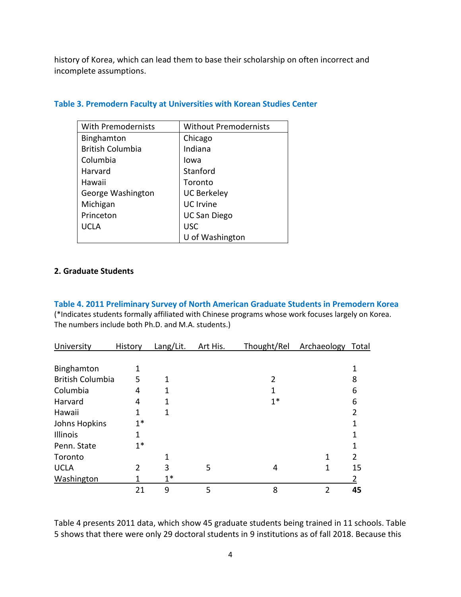history of Korea, which can lead them to base their scholarship on often incorrect and incomplete assumptions.

| <b>With Premodernists</b> | <b>Without Premodernists</b> |  |  |
|---------------------------|------------------------------|--|--|
| Binghamton                | Chicago                      |  |  |
| <b>British Columbia</b>   | Indiana                      |  |  |
| Columbia                  | Iowa                         |  |  |
| Harvard                   | Stanford                     |  |  |
| Hawaii                    | Toronto                      |  |  |
| George Washington         | <b>UC Berkeley</b>           |  |  |
| Michigan                  | <b>UC</b> Irvine             |  |  |
| Princeton                 | <b>UC San Diego</b>          |  |  |
| <b>UCLA</b>               | <b>USC</b>                   |  |  |
|                           | U of Washington              |  |  |

### **Table 3. Premodern Faculty at Universities with Korean Studies Center**

#### **2. Graduate Students**

**Table 4. 2011 Preliminary Survey of North American Graduate Students in Premodern Korea** (\*Indicates students formally affiliated with Chinese programs whose work focuses largely on Korea. The numbers include both Ph.D. and M.A. students.)

| University              | History | Lang/Lit. | Art His. | Thought/Rel | Archaeology Total |    |
|-------------------------|---------|-----------|----------|-------------|-------------------|----|
|                         |         |           |          |             |                   |    |
| Binghamton              |         |           |          |             |                   |    |
| <b>British Columbia</b> | 5       | 1         |          | 2           |                   | 8  |
| Columbia                | 4       |           |          |             |                   | 6  |
| Harvard                 | 4       |           |          | $1*$        |                   | 6  |
| Hawaii                  |         | 1         |          |             |                   |    |
| Johns Hopkins           | $1*$    |           |          |             |                   |    |
| Illinois                | 1       |           |          |             |                   |    |
| Penn. State             | $1*$    |           |          |             |                   |    |
| Toronto                 |         |           |          |             | 1                 | 2  |
| <b>UCLA</b>             | 2       | 3         | 5        | 4           |                   | 15 |
| Washington              |         | $1^*$     |          |             |                   |    |
|                         | 21      | 9         | 5        | 8           | 2                 | 45 |

Table 4 presents 2011 data, which show 45 graduate students being trained in 11 schools. Table 5 shows that there were only 29 doctoral students in 9 institutions as of fall 2018. Because this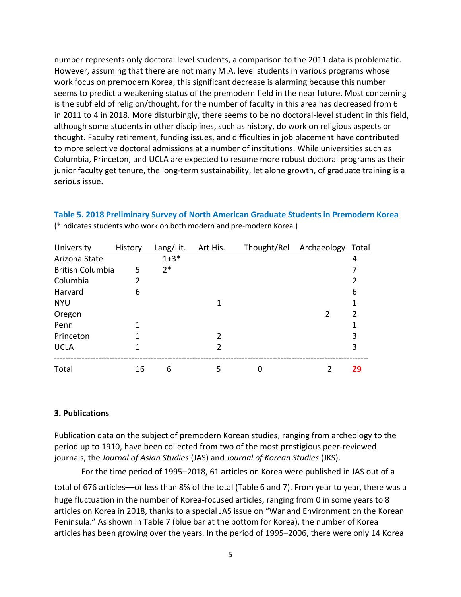number represents only doctoral level students, a comparison to the 2011 data is problematic. However, assuming that there are not many M.A. level students in various programs whose work focus on premodern Korea, this significant decrease is alarming because this number seems to predict a weakening status of the premodern field in the near future. Most concerning is the subfield of religion/thought, for the number of faculty in this area has decreased from 6 in 2011 to 4 in 2018. More disturbingly, there seems to be no doctoral-level student in this field, although some students in other disciplines, such as history, do work on religious aspects or thought. Faculty retirement, funding issues, and difficulties in job placement have contributed to more selective doctoral admissions at a number of institutions. While universities such as Columbia, Princeton, and UCLA are expected to resume more robust doctoral programs as their junior faculty get tenure, the long-term sustainability, let alone growth, of graduate training is a serious issue.

| History                      | Lang/Lit. | Art His. | Thought/Rel | Archaeology Total |    |
|------------------------------|-----------|----------|-------------|-------------------|----|
|                              | $1 + 3*$  |          |             |                   | 4  |
| <b>British Columbia</b><br>5 | $2*$      |          |             |                   |    |
| 2                            |           |          |             |                   |    |
| 6                            |           |          |             |                   | 6  |
|                              |           |          |             |                   |    |
|                              |           |          |             | $\mathfrak z$     |    |
|                              |           |          |             |                   |    |
| 1                            |           | 2        |             |                   | 3  |
|                              |           | 2        |             |                   | 3  |
|                              | 6         | 5        |             |                   | 29 |
|                              | 16        |          |             |                   |    |

**Table 5. 2018 Preliminary Survey of North American Graduate Students in Premodern Korea** (\*Indicates students who work on both modern and pre-modern Korea.)

#### **3. Publications**

Publication data on the subject of premodern Korean studies, ranging from archeology to the period up to 1910, have been collected from two of the most prestigious peer-reviewed journals, the *Journal of Asian Studies* (JAS) and *Journal of Korean Studies* (JKS).

For the time period of 1995–2018, 61 articles on Korea were published in JAS out of a

total of 676 articles—or less than 8% of the total (Table 6 and 7). From year to year, there was a huge fluctuation in the number of Korea-focused articles, ranging from 0 in some years to 8 articles on Korea in 2018, thanks to a special JAS issue on "War and Environment on the Korean Peninsula." As shown in Table 7 (blue bar at the bottom for Korea), the number of Korea articles has been growing over the years. In the period of 1995–2006, there were only 14 Korea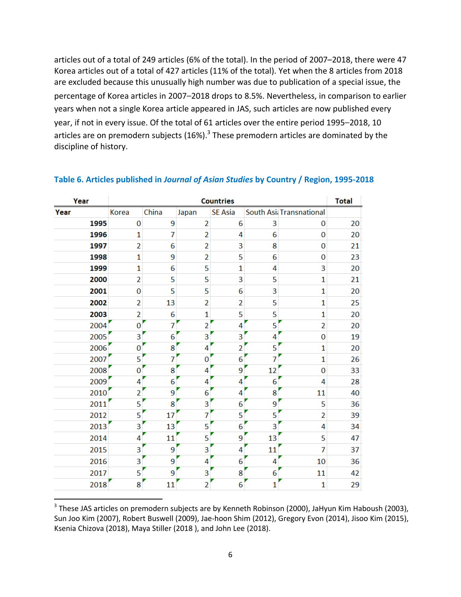articles out of a total of 249 articles (6% of the total). In the period of 2007–2018, there were 47 Korea articles out of a total of 427 articles (11% of the total). Yet when the 8 articles from 2018 are excluded because this unusually high number was due to publication of a special issue, the percentage of Korea articles in 2007–2018 drops to 8.5%. Nevertheless, in comparison to earlier years when not a single Korea article appeared in JAS, such articles are now published every year, if not in every issue. Of the total of 61 articles over the entire period 1995–2018, 10 articles are on premodern subjects (16%).<sup>3</sup> These premodern articles are dominated by the discipline of history.

| Year | <b>Countries</b> |                |                |                |    |                         | <b>Total</b> |
|------|------------------|----------------|----------------|----------------|----|-------------------------|--------------|
| Year | Korea            | China          | Japan          | <b>SE Asia</b> |    | South Asi Transnational |              |
| 1995 | 0                | 9              | $\overline{2}$ | 6              | 3  | $\bf{0}$                | 20           |
| 1996 | $\mathbf{1}$     | 7              | $\overline{2}$ | 4              | 6  | $\mathbf{0}$            | 20           |
| 1997 | $\overline{2}$   | 6              | 2              | 3              | 8  | $\bf{0}$                | 21           |
| 1998 | $\mathbf{1}$     | 9              | $\overline{2}$ | 5              | 6  | $\Omega$                | 23           |
| 1999 | $\mathbf{1}$     | 6              | 5              | 1              | 4  | 3                       | 20           |
| 2000 | $\overline{2}$   | 5              | 5              | 3              | 5  | $\mathbf{1}$            | 21           |
| 2001 | 0                | 5              | 5              | 6              | 3  | $\mathbf{1}$            | 20           |
| 2002 | $\overline{2}$   | 13             | $\overline{2}$ | $\overline{2}$ | 5  | $\mathbf{1}$            | 25           |
| 2003 | $\overline{2}$   | 6              | 1              | 5              | 5  | 1                       | 20           |
| 2004 | $\bf{0}$         | $\overline{7}$ | $\overline{2}$ | 4              | 5  | $\overline{2}$          | 20           |
| 2005 | 3                | 6              | 3              | 3              | 4  | 0                       | 19           |
| 2006 | 0                | 8              | 4              | 2              | 5  | $\mathbf{1}$            | 20           |
| 2007 | 5                | 7              | 0              | 6              | 7  | 1                       | 26           |
| 2008 | 0                | 8              | 4              | 9              | 12 | $\Omega$                | 33           |
| 2009 | 4                | 6              | 4              | 4              | 6  | 4                       | 28           |
| 2010 | $\overline{2}$   | 9              | 6              | 4              | 8  | 11                      | 40           |
| 2011 | 5                | 8              | 3              | 6              | 9  | 5                       | 36           |
| 2012 | 5                | 17             | 7              | 5              | 5  | $\overline{2}$          | 39           |
| 2013 | 3                | 13             | 5              | 6              | 3  | 4                       | 34           |
| 2014 | 4                | 11             | 5              | 9              | 13 | 5                       | 47           |
| 2015 | 3                | 9              | 3              | 4              | 11 | 7                       | 37           |
| 2016 | 3                | 9              | 4              | 6              | 4  | 10                      | 36           |
| 2017 | 5                | 9              | 3              | 8              | 6  | 11                      | 42           |
| 2018 | 8                | 11             | $\overline{2}$ | 6              | 1  | 1                       | 29           |

### **Table 6. Articles published in** *Journal of Asian Studies* **by Country / Region, 1995-2018**

 $\overline{\phantom{a}}$ 

 $^3$  These JAS articles on premodern subjects are by Kenneth Robinson (2000), JaHyun Kim Haboush (2003), Sun Joo Kim (2007), Robert Buswell (2009), Jae-hoon Shim (2012), Gregory Evon (2014), Jisoo Kim (2015), Ksenia Chizova (2018), Maya Stiller (2018 ), and John Lee (2018).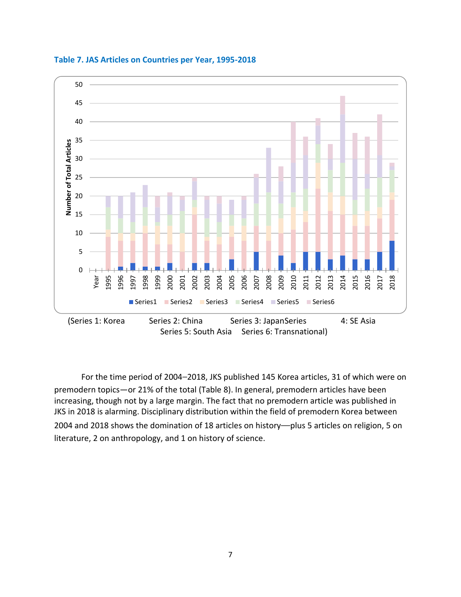



For the time period of 2004–2018, JKS published 145 Korea articles, 31 of which were on premodern topics—or 21% of the total (Table 8). In general, premodern articles have been increasing, though not by a large margin. The fact that no premodern article was published in JKS in 2018 is alarming. Disciplinary distribution within the field of premodern Korea between 2004 and 2018 shows the domination of 18 articles on history—plus 5 articles on religion, 5 on literature, 2 on anthropology, and 1 on history of science.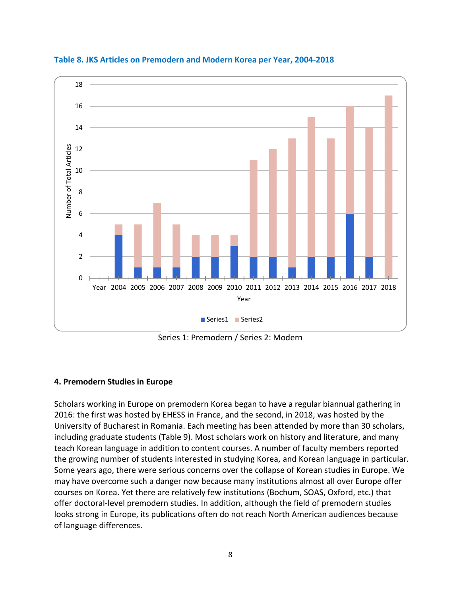

**Table 8. JKS Articles on Premodern and Modern Korea per Year, 2004-2018**

Series 1: Premodern / Series 2: Modern

## **4. Premodern Studies in Europe**

Scholars working in Europe on premodern Korea began to have a regular biannual gathering in 2016: the first was hosted by EHESS in France, and the second, in 2018, was hosted by the University of Bucharest in Romania. Each meeting has been attended by more than 30 scholars, including graduate students (Table 9). Most scholars work on history and literature, and many teach Korean language in addition to content courses. A number of faculty members reported the growing number of students interested in studying Korea, and Korean language in particular. Some years ago, there were serious concerns over the collapse of Korean studies in Europe. We may have overcome such a danger now because many institutions almost all over Europe offer courses on Korea. Yet there are relatively few institutions (Bochum, SOAS, Oxford, etc.) that offer doctoral-level premodern studies. In addition, although the field of premodern studies looks strong in Europe, its publications often do not reach North American audiences because of language differences.